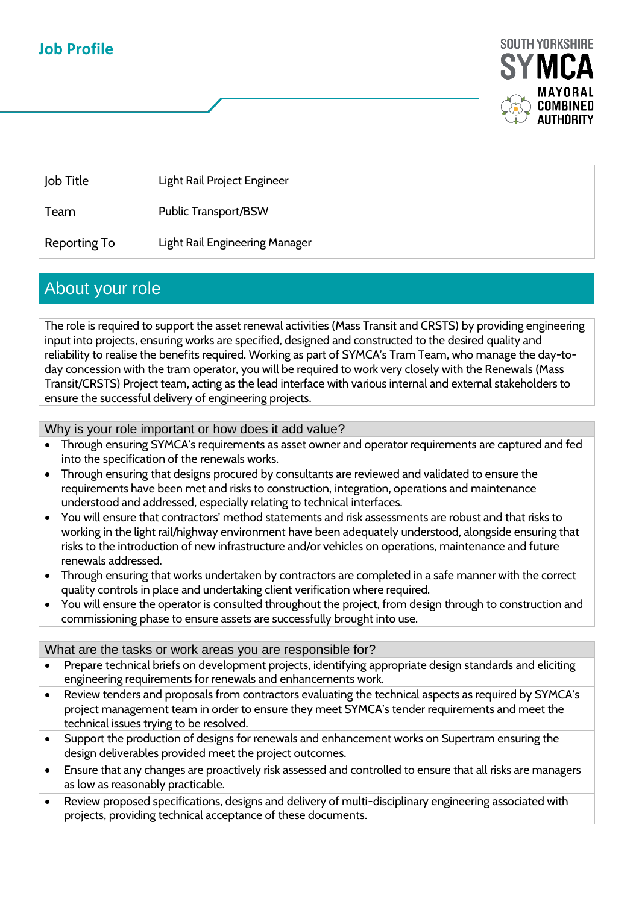## **Job Profile**



| Job Title    | Light Rail Project Engineer    |
|--------------|--------------------------------|
| Team         | <b>Public Transport/BSW</b>    |
| Reporting To | Light Rail Engineering Manager |

### About your role

The role is required to support the asset renewal activities (Mass Transit and CRSTS) by providing engineering input into projects, ensuring works are specified, designed and constructed to the desired quality and reliability to realise the benefits required. Working as part of SYMCA's Tram Team, who manage the day-today concession with the tram operator, you will be required to work very closely with the Renewals (Mass Transit/CRSTS) Project team, acting as the lead interface with various internal and external stakeholders to ensure the successful delivery of engineering projects.

Why is your role important or how does it add value?

- Through ensuring SYMCA's requirements as asset owner and operator requirements are captured and fed into the specification of the renewals works.
- Through ensuring that designs procured by consultants are reviewed and validated to ensure the requirements have been met and risks to construction, integration, operations and maintenance understood and addressed, especially relating to technical interfaces.
- You will ensure that contractors' method statements and risk assessments are robust and that risks to working in the light rail/highway environment have been adequately understood, alongside ensuring that risks to the introduction of new infrastructure and/or vehicles on operations, maintenance and future renewals addressed.
- Through ensuring that works undertaken by contractors are completed in a safe manner with the correct quality controls in place and undertaking client verification where required.
- You will ensure the operator is consulted throughout the project, from design through to construction and commissioning phase to ensure assets are successfully brought into use.

#### What are the tasks or work areas you are responsible for?

- Prepare technical briefs on development projects, identifying appropriate design standards and eliciting engineering requirements for renewals and enhancements work.
- Review tenders and proposals from contractors evaluating the technical aspects as required by SYMCA's project management team in order to ensure they meet SYMCA's tender requirements and meet the technical issues trying to be resolved.
- Support the production of designs for renewals and enhancement works on Supertram ensuring the design deliverables provided meet the project outcomes.
- Ensure that any changes are proactively risk assessed and controlled to ensure that all risks are managers as low as reasonably practicable.
- Review proposed specifications, designs and delivery of multi-disciplinary engineering associated with projects, providing technical acceptance of these documents.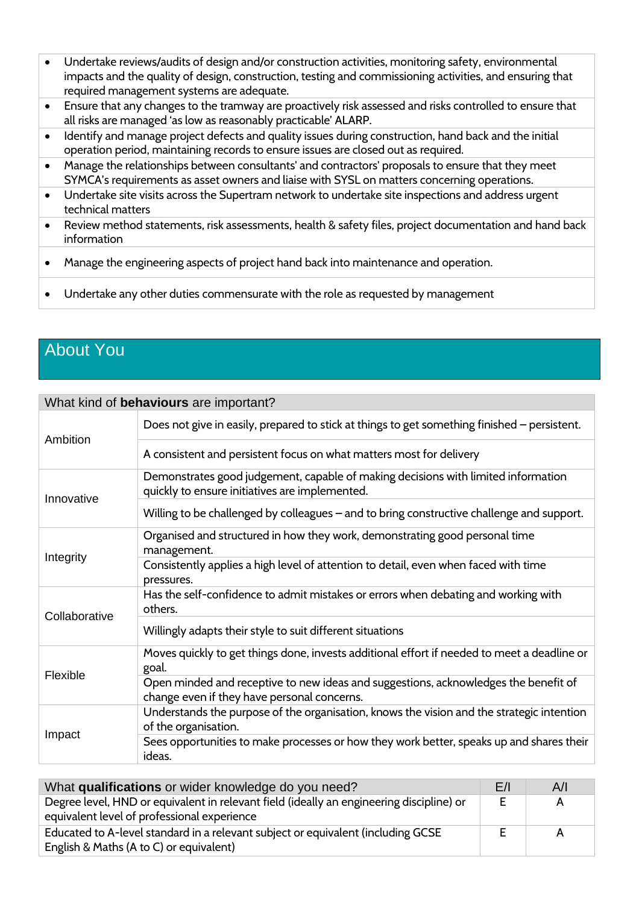- Undertake reviews/audits of design and/or construction activities, monitoring safety, environmental impacts and the quality of design, construction, testing and commissioning activities, and ensuring that required management systems are adequate.
- Ensure that any changes to the tramway are proactively risk assessed and risks controlled to ensure that all risks are managed 'as low as reasonably practicable' ALARP.
- Identify and manage project defects and quality issues during construction, hand back and the initial operation period, maintaining records to ensure issues are closed out as required.
- Manage the relationships between consultants' and contractors' proposals to ensure that they meet SYMCA's requirements as asset owners and liaise with SYSL on matters concerning operations.
- Undertake site visits across the Supertram network to undertake site inspections and address urgent technical matters
- Review method statements, risk assessments, health & safety files, project documentation and hand back information
- Manage the engineering aspects of project hand back into maintenance and operation.
- Undertake any other duties commensurate with the role as requested by management

# About You

| What kind of behaviours are important? |                                                                                                                                                                                                                                                                           |  |
|----------------------------------------|---------------------------------------------------------------------------------------------------------------------------------------------------------------------------------------------------------------------------------------------------------------------------|--|
| Ambition                               | Does not give in easily, prepared to stick at things to get something finished – persistent.                                                                                                                                                                              |  |
|                                        | A consistent and persistent focus on what matters most for delivery                                                                                                                                                                                                       |  |
| Innovative                             | Demonstrates good judgement, capable of making decisions with limited information<br>quickly to ensure initiatives are implemented.                                                                                                                                       |  |
|                                        | Willing to be challenged by colleagues - and to bring constructive challenge and support.                                                                                                                                                                                 |  |
| Integrity                              | Organised and structured in how they work, demonstrating good personal time<br>management.                                                                                                                                                                                |  |
|                                        | Consistently applies a high level of attention to detail, even when faced with time<br>pressures.                                                                                                                                                                         |  |
| Collaborative                          | Has the self-confidence to admit mistakes or errors when debating and working with<br>others.                                                                                                                                                                             |  |
|                                        | Willingly adapts their style to suit different situations                                                                                                                                                                                                                 |  |
| Flexible                               | Moves quickly to get things done, invests additional effort if needed to meet a deadline or<br>goal.                                                                                                                                                                      |  |
|                                        | Open minded and receptive to new ideas and suggestions, acknowledges the benefit of<br>change even if they have personal concerns.                                                                                                                                        |  |
| Impact                                 | Understands the purpose of the organisation, knows the vision and the strategic intention<br>of the organisation.                                                                                                                                                         |  |
|                                        | Sees opportunities to make processes or how they work better, speaks up and shares their<br>ideas.                                                                                                                                                                        |  |
| $\mathbf{1}$                           | $\mathbf{r}$ , and the set of the set of the set of the set of the set of the set of the set of the set of the set of the set of the set of the set of the set of the set of the set of the set of the set of the set of the set<br>$\sim$<br>$\sim$ $\sim$ $\sim$<br>A/I |  |

| What qualifications or wider knowledge do you need?                                                                         |   | A/I |
|-----------------------------------------------------------------------------------------------------------------------------|---|-----|
| Degree level, HND or equivalent in relevant field (ideally an engineering discipline) or                                    | E | A   |
| equivalent level of professional experience                                                                                 |   |     |
| Educated to A-level standard in a relevant subject or equivalent (including GCSE<br>English & Maths (A to C) or equivalent) |   | A   |